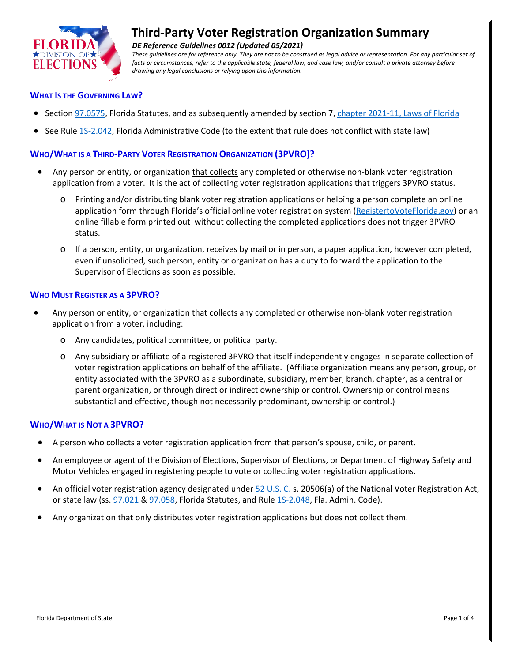

# **Third-Party Voter Registration Organization Summary**

*DE Reference Guidelines 0012 (Updated 05/2021)*

*These guidelines are for reference only. They are not to be construed as legal advice or representation. For any particular set of*  facts or circumstances, refer to the applicable state, federal law, and case law, and/or consult a private attorney before *drawing any legal conclusions or relying upon this information.*

## **WHAT IS THE GOVERNING LAW?**

- Sectio[n 97.0575,](http://www.leg.state.fl.us/Statutes/index.cfm?App_mode=Display_Statute&Search_String=&URL=0000-0099/0097/Sections/0097.0575.html) Florida Statutes, and as subsequently amended by section 7[, chapter 2021-11, Laws of Florida](http://laws.flrules.org/2021/11)
- See Rul[e 1S-2.042,](http://election.myflorida.com/rules/adopted-rules/pdf/1S2042_12-12.pdf) Florida Administrative Code (to the extent that rule does not conflict with state law)

## **WHO/WHAT IS A THIRD-PARTY VOTER REGISTRATION ORGANIZATION (3PVRO)?**

- Any person or entity, or organization that collects any completed or otherwise non-blank voter registration application from a voter. It is the act of collecting voter registration applications that triggers 3PVRO status.
	- o Printing and/or distributing blank voter registration applications or helping a person complete an online application form through Florida's official online voter registration system [\(RegistertoVoteFlorida.gov\)](https://www.registertovoteflorida.gov/en/Registration/Index) or an online fillable form printed out without collecting the completed applications does not trigger 3PVRO status.
	- o If a person, entity, or organization, receives by mail or in person, a paper application, however completed, even if unsolicited, such person, entity or organization has a duty to forward the application to the Supervisor of Elections as soon as possible.

#### **WHO MUST REGISTER AS A 3PVRO?**

- Any person or entity, or organization that collects any completed or otherwise non-blank voter registration application from a voter, including:
	- o Any candidates, political committee, or political party.
	- o Any subsidiary or affiliate of a registered 3PVRO that itself independently engages in separate collection of voter registration applications on behalf of the affiliate. (Affiliate organization means any person, group, or entity associated with the 3PVRO as a subordinate, subsidiary, member, branch, chapter, as a central or parent organization, or through direct or indirect ownership or control. Ownership or control means substantial and effective, though not necessarily predominant, ownership or control.)

## **WHO/WHAT IS NOT A 3PVRO?**

- A person who collects a voter registration application from that person's spouse, child, or parent.
- An employee or agent of the Division of Elections, Supervisor of Elections, or Department of Highway Safety and Motor Vehicles engaged in registering people to vote or collecting voter registration applications.
- An official voter registration agency designated unde[r 52 U.S. C.](https://www.govinfo.gov/content/pkg/USCODE-2014-title52/pdf/USCODE-2014-title52.pdf) s. 20506(a) of the National Voter Registration Act, or state law (ss. [97.021](http://www.leg.state.fl.us/Statutes/index.cfm?App_mode=Display_Statute&Search_String=&URL=0000-0099/0097/Sections/0097.021.html) [& 97.058,](http://www.leg.state.fl.us/Statutes/index.cfm?App_mode=Display_Statute&Search_String=&URL=0000-0099/0097/Sections/0097.058.html) Florida Statutes, and Rul[e 1S-2.048,](http://doedoe.dhttps/www.flrules.org/gateway/RuleNo.asp?title=ELECTIONS&ID=1S-2.048os.state.fl.us/rules/adopted-rules/pdf/1S2048.pdf) Fla. Admin. Code).
- Any organization that only distributes voter registration applications but does not collect them.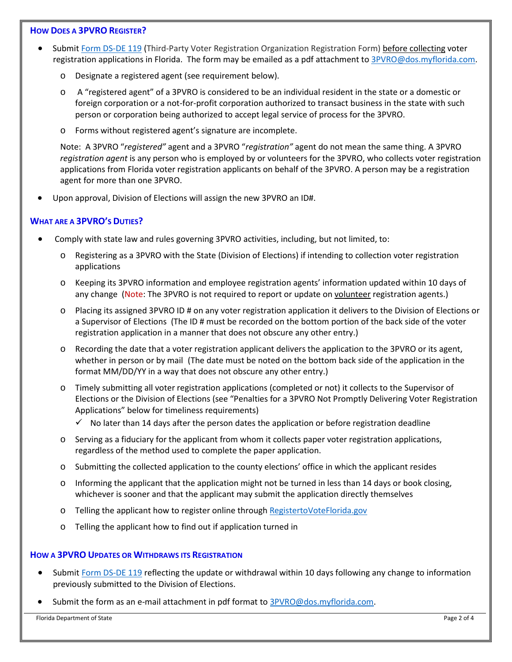## **HOW DOES A 3PVRO REGISTER?**

- Submit [Form DS-DE 119](http://dos.myflorida.com/elections/forms-publications/forms/) (Third-Party Voter Registration Organization Registration Form) before collecting voter registration applications in Florida. The form may be emailed as a pdf attachment to [3PVRO@dos.myflorida.com.](mailto:3PVRO@dos.myflorida.com)
	- o Designate a registered agent (see requirement below).
	- o A "registered agent" of a 3PVRO is considered to be an individual resident in the state or a domestic or foreign corporation or a not-for-profit corporation authorized to transact business in the state with such person or corporation being authorized to accept legal service of process for the 3PVRO.
	- o Forms without registered agent's signature are incomplete.

Note: A 3PVRO "*registered"* agent and a 3PVRO "*registration"* agent do not mean the same thing. A 3PVRO *registration agent* is any person who is employed by or volunteers for the 3PVRO, who collects voter registration applications from Florida voter registration applicants on behalf of the 3PVRO. A person may be a registration agent for more than one 3PVRO.

• Upon approval, Division of Elections will assign the new 3PVRO an ID#.

## **WHAT ARE A 3PVRO'S DUTIES?**

- Comply with state law and rules governing 3PVRO activities, including, but not limited, to:
	- o Registering as a 3PVRO with the State (Division of Elections) if intending to collection voter registration applications
	- o Keeping its 3PVRO information and employee registration agents' information updated within 10 days of any change (Note: The 3PVRO is not required to report or update on volunteer registration agents.)
	- o Placing its assigned 3PVRO ID # on any voter registration application it delivers to the Division of Elections or a Supervisor of Elections (The ID # must be recorded on the bottom portion of the back side of the voter registration application in a manner that does not obscure any other entry.)
	- o Recording the date that a voter registration applicant delivers the application to the 3PVRO or its agent, whether in person or by mail (The date must be noted on the bottom back side of the application in the format MM/DD/YY in a way that does not obscure any other entry.)
	- o Timely submitting all voter registration applications (completed or not) it collects to the Supervisor of Elections or the Division of Elections (see "Penalties for a 3PVRO Not Promptly Delivering Voter Registration Applications" below for timeliness requirements)
		- $\checkmark$  No later than 14 days after the person dates the application or before registration deadline
	- o Serving as a fiduciary for the applicant from whom it collects paper voter registration applications, regardless of the method used to complete the paper application.
	- o Submitting the collected application to the county elections' office in which the applicant resides
	- o Informing the applicant that the application might not be turned in less than 14 days or book closing, whichever is sooner and that the applicant may submit the application directly themselves
	- o Telling the applicant how to register online throug[h RegistertoVoteFlorida.gov](https://www.registertovoteflorida.gov/en/Registration/Index)
	- o Telling the applicant how to find out if application turned in

#### **HOW A 3PVRO UPDATES OR WITHDRAWS ITS REGISTRATION**

- Submi[t Form DS-DE 119](https://dos.myflorida.com/elections/forms-publications/forms/) reflecting the update or withdrawal within 10 days following any change to information previously submitted to the Division of Elections.
- Submit the form as an e-mail attachment in pdf format t[o 3PVRO@dos.myflorida.com.](mailto:3PVRO@dos.myflorida.com)

Florida Department of State Page 2 of 4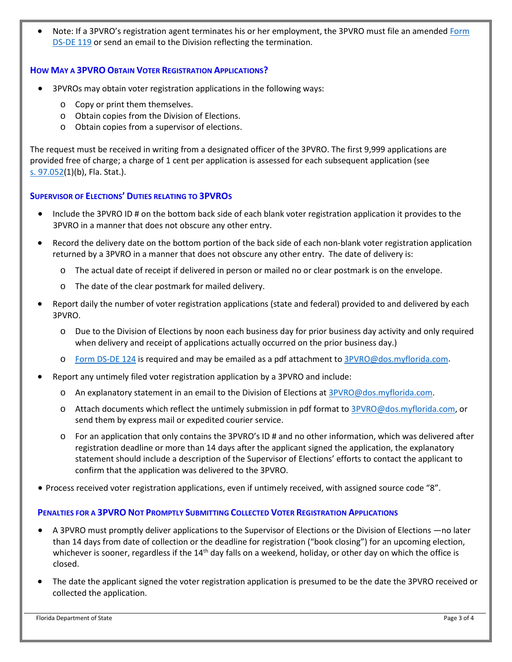Note: If a 3PVRO's registration agent terminates his or her employment, the 3PVRO must file an amended Form [DS-DE 119](https://dos.myflorida.com/elections/forms-publications/forms/) or send an email to the Division reflecting the termination.

## **HOW MAY A 3PVRO OBTAIN VOTER REGISTRATION APPLICATIONS?**

- 3PVROs may obtain voter registration applications in the following ways:
	- o Copy or print them themselves.
	- o Obtain copies from the Division of Elections.
	- o Obtain copies from a supervisor of elections.

The request must be received in writing from a designated officer of the 3PVRO. The first 9,999 applications are provided free of charge; a charge of 1 cent per application is assessed for each subsequent application (see s. [97.052\(](http://www.leg.state.fl.us/statutes/index.cfm?mode=View%20Statutes&SubMenu=1&App_mode=Display_Statute&Search_String=97.052&URL=0000-0099/0097/Sections/0097.052.html)1)(b), Fla. Stat.).

## **SUPERVISOR OF ELECTIONS' DUTIES RELATING TO 3PVROS**

- Include the 3PVRO ID # on the bottom back side of each blank voter registration application it provides to the 3PVRO in a manner that does not obscure any other entry.
- Record the delivery date on the bottom portion of the back side of each non-blank voter registration application returned by a 3PVRO in a manner that does not obscure any other entry. The date of delivery is:
	- o The actual date of receipt if delivered in person or mailed no or clear postmark is on the envelope.
	- o The date of the clear postmark for mailed delivery.
- Report daily the number of voter registration applications (state and federal) provided to and delivered by each 3PVRO.
	- o Due to the Division of Elections by noon each business day for prior business day activity and only required when delivery and receipt of applications actually occurred on the prior business day.)
	- o [Form DS-DE 124](https://dos.myflorida.com/elections/forms-publications/forms/) is required and may be emailed as a pdf attachment to [3PVRO@dos.myflorida.com.](mailto:3PVRO@dos.myflorida.com)
- Report any untimely filed voter registration application by a 3PVRO and include:
	- $\circ$  An explanatory statement in an email to the Division of Elections at [3PVRO@dos.myflorida.com.](mailto:3PVRO@dos.myflorida.com)
	- o Attach documents which reflect the untimely submission in pdf format to [3PVRO@dos.myflorida.com,](mailto:3PVRO@dos.myflorida.com) or send them by express mail or expedited courier service.
	- o For an application that only contains the 3PVRO's ID # and no other information, which was delivered after registration deadline or more than 14 days after the applicant signed the application, the explanatory statement should include a description of the Supervisor of Elections' efforts to contact the applicant to confirm that the application was delivered to the 3PVRO.
- Process received voter registration applications, even if untimely received, with assigned source code "8".

## **PENALTIES FOR A 3PVRO NOT PROMPTLY SUBMITTING COLLECTED VOTER REGISTRATION APPLICATIONS**

- A 3PVRO must promptly deliver applications to the Supervisor of Elections or the Division of Elections —no later than 14 days from date of collection or the deadline for registration ("book closing") for an upcoming election, whichever is sooner, regardless if the  $14<sup>th</sup>$  day falls on a weekend, holiday, or other day on which the office is closed.
- The date the applicant signed the voter registration application is presumed to be the date the 3PVRO received or collected the application.